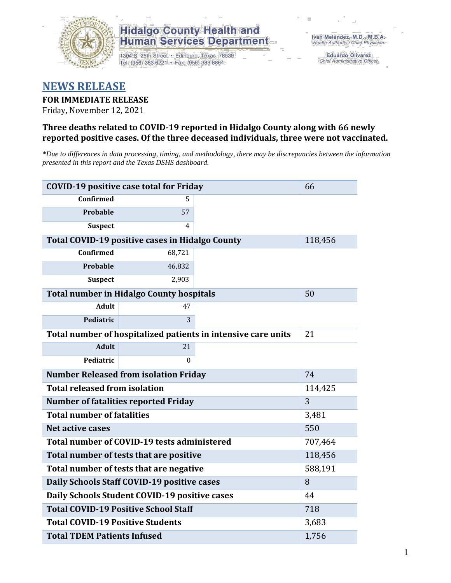

# **Hidalgo County Health and Human Services Department**

1304 S. 25th Street · Edinburg, Texas 78539 Tel: (956) 383-6221 · Fax: (956) 383-8864

**Eduardo Olivarez** Chief Administrative Officer

# **NEWS RELEASE**

**FOR IMMEDIATE RELEASE**

Friday, November 12, 2021

## **Three deaths related to COVID-19 reported in Hidalgo County along with 66 newly reported positive cases. Of the three deceased individuals, three were not vaccinated.**

*\*Due to differences in data processing, timing, and methodology, there may be discrepancies between the information presented in this report and the Texas DSHS dashboard.*

| <b>COVID-19 positive case total for Friday</b>                |                                                        |    | 66      |
|---------------------------------------------------------------|--------------------------------------------------------|----|---------|
| <b>Confirmed</b>                                              | 5.                                                     |    |         |
| Probable                                                      | 57                                                     |    |         |
| <b>Suspect</b>                                                | 4                                                      |    |         |
|                                                               | <b>Total COVID-19 positive cases in Hidalgo County</b> |    | 118,456 |
| <b>Confirmed</b>                                              | 68,721                                                 |    |         |
| Probable                                                      | 46,832                                                 |    |         |
| <b>Suspect</b>                                                | 2,903                                                  |    |         |
|                                                               | <b>Total number in Hidalgo County hospitals</b>        |    | 50      |
| <b>Adult</b>                                                  | 47                                                     |    |         |
| Pediatric                                                     | 3                                                      |    |         |
| Total number of hospitalized patients in intensive care units | 21                                                     |    |         |
| <b>Adult</b>                                                  | 21                                                     |    |         |
| Pediatric                                                     | $\Omega$                                               |    |         |
| <b>Number Released from isolation Friday</b>                  |                                                        | 74 |         |
| <b>Total released from isolation</b>                          | 114,425                                                |    |         |
| <b>Number of fatalities reported Friday</b>                   | 3                                                      |    |         |
| <b>Total number of fatalities</b>                             |                                                        |    | 3,481   |
| Net active cases                                              |                                                        |    | 550     |
| Total number of COVID-19 tests administered                   | 707,464                                                |    |         |
| Total number of tests that are positive                       | 118,456                                                |    |         |
| Total number of tests that are negative                       | 588,191                                                |    |         |
| Daily Schools Staff COVID-19 positive cases                   | 8                                                      |    |         |
| Daily Schools Student COVID-19 positive cases                 | 44                                                     |    |         |
| <b>Total COVID-19 Positive School Staff</b>                   | 718                                                    |    |         |
| <b>Total COVID-19 Positive Students</b>                       | 3,683                                                  |    |         |
| <b>Total TDEM Patients Infused</b>                            | 1,756                                                  |    |         |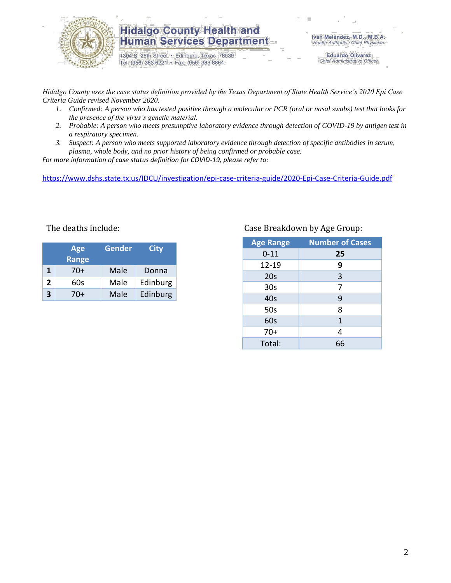

## **Hidalgo County Health and Human Services Department**

1304 S. 25th Street · Edinburg, Texas 78539 Tel: (956) 383-6221 · Fax: (956) 383-8864

Iván Meléndez, M.D., M.B.A. Health Authority / Chief Physician

> **Eduardo Olivarez** Chief Administrative Officer

*Hidalgo County uses the case status definition provided by the Texas Department of State Health Service's 2020 Epi Case Criteria Guide revised November 2020.*

- *1. Confirmed: A person who has tested positive through a molecular or PCR (oral or nasal swabs) test that looks for the presence of the virus's genetic material.*
- *2. Probable: A person who meets presumptive laboratory evidence through detection of COVID-19 by antigen test in a respiratory specimen.*
- *3. Suspect: A person who meets supported laboratory evidence through detection of specific antibodies in serum, plasma, whole body, and no prior history of being confirmed or probable case.*

*For more information of case status definition for COVID-19, please refer to:*

<https://www.dshs.state.tx.us/IDCU/investigation/epi-case-criteria-guide/2020-Epi-Case-Criteria-Guide.pdf>

| <b>Age</b><br><b>Range</b> |     | <b>Gender</b> | <b>City</b> |  |
|----------------------------|-----|---------------|-------------|--|
| 1                          | 70+ | Male          | Donna       |  |
| 2                          | 60s | Male          | Edinburg    |  |
| 3                          | 70+ | Male          | Edinburg    |  |

## The deaths include: The deaths include: Case Breakdown by Age Group:

| <b>Age Range</b> | <b>Number of Cases</b> |  |  |  |
|------------------|------------------------|--|--|--|
| $0 - 11$         | 25                     |  |  |  |
| 12-19            | 9                      |  |  |  |
| 20s              | 3                      |  |  |  |
| 30 <sub>s</sub>  | 7                      |  |  |  |
| 40s              | 9                      |  |  |  |
| 50s              | 8                      |  |  |  |
| 60s              | $\mathbf{1}$           |  |  |  |
| $70+$            | 4                      |  |  |  |
| Total:           | 66                     |  |  |  |